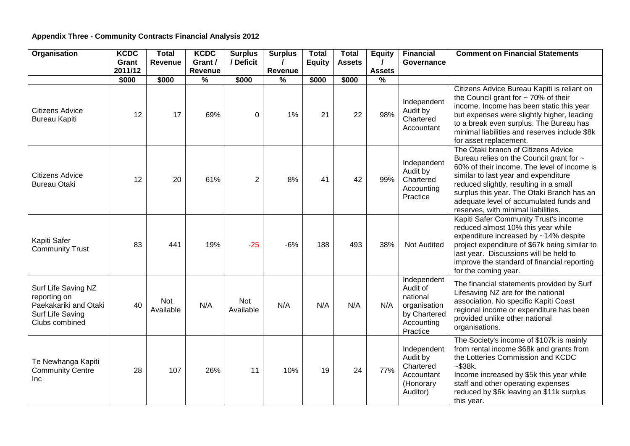## **Appendix Three - Community Contracts Financial Analysis 2012**

| Organisation                                                                                       | <b>KCDC</b> | <b>Total</b>     | <b>KCDC</b>   | <b>Surplus</b>   | <b>Surplus</b> | <b>Total</b>  | <b>Total</b>  | <b>Equity</b> | <b>Financial</b>                                                                              | <b>Comment on Financial Statements</b>                                                                                                                                                                                                                                                                                                           |
|----------------------------------------------------------------------------------------------------|-------------|------------------|---------------|------------------|----------------|---------------|---------------|---------------|-----------------------------------------------------------------------------------------------|--------------------------------------------------------------------------------------------------------------------------------------------------------------------------------------------------------------------------------------------------------------------------------------------------------------------------------------------------|
|                                                                                                    | Grant       | <b>Revenue</b>   | Grant /       | / Deficit        |                | <b>Equity</b> | <b>Assets</b> | $\prime$      | Governance                                                                                    |                                                                                                                                                                                                                                                                                                                                                  |
|                                                                                                    | 2011/12     |                  | Revenue       |                  | Revenue        |               |               | <b>Assets</b> |                                                                                               |                                                                                                                                                                                                                                                                                                                                                  |
|                                                                                                    | \$000       | \$000            | $\frac{9}{6}$ | \$000            | $\frac{9}{6}$  | \$000         | \$000         | $\frac{0}{0}$ |                                                                                               |                                                                                                                                                                                                                                                                                                                                                  |
| <b>Citizens Advice</b><br><b>Bureau Kapiti</b>                                                     | 12          | 17               | 69%           | 0                | 1%             | 21            | 22            | 98%           | Independent<br>Audit by<br>Chartered<br>Accountant                                            | Citizens Advice Bureau Kapiti is reliant on<br>the Council grant for $\sim$ 70% of their<br>income. Income has been static this year<br>but expenses were slightly higher, leading<br>to a break even surplus. The Bureau has<br>minimal liabilities and reserves include \$8k<br>for asset replacement.                                         |
| <b>Citizens Advice</b><br><b>Bureau Otaki</b>                                                      | 12          | 20               | 61%           | $\overline{2}$   | 8%             | 41            | 42            | 99%           | Independent<br>Audit by<br>Chartered<br>Accounting<br>Practice                                | The Ōtaki branch of Citizens Advice<br>Bureau relies on the Council grant for ~<br>60% of their income. The level of income is<br>similar to last year and expenditure<br>reduced slightly, resulting in a small<br>surplus this year. The Otaki Branch has an<br>adequate level of accumulated funds and<br>reserves, with minimal liabilities. |
| Kapiti Safer<br><b>Community Trust</b>                                                             | 83          | 441              | 19%           | $-25$            | $-6%$          | 188           | 493           | 38%           | <b>Not Audited</b>                                                                            | Kapiti Safer Community Trust's income<br>reduced almost 10% this year while<br>expenditure increased by ~14% despite<br>project expenditure of \$67k being similar to<br>last year. Discussions will be held to<br>improve the standard of financial reporting<br>for the coming year.                                                           |
| Surf Life Saving NZ<br>reporting on<br>Paekakariki and Otaki<br>Surf Life Saving<br>Clubs combined | 40          | Not<br>Available | N/A           | Not<br>Available | N/A            | N/A           | N/A           | N/A           | Independent<br>Audit of<br>national<br>organisation<br>by Chartered<br>Accounting<br>Practice | The financial statements provided by Surf<br>Lifesaving NZ are for the national<br>association. No specific Kapiti Coast<br>regional income or expenditure has been<br>provided unlike other national<br>organisations.                                                                                                                          |
| Te Newhanga Kapiti<br><b>Community Centre</b><br><b>Inc</b>                                        | 28          | 107              | 26%           | 11               | 10%            | 19            | 24            | 77%           | Independent<br>Audit by<br>Chartered<br>Accountant<br>(Honorary<br>Auditor)                   | The Society's income of \$107k is mainly<br>from rental income \$68k and grants from<br>the Lotteries Commission and KCDC<br>$-$ \$38 $k$ .<br>Income increased by \$5k this year while<br>staff and other operating expenses<br>reduced by \$6k leaving an \$11k surplus<br>this year.                                                          |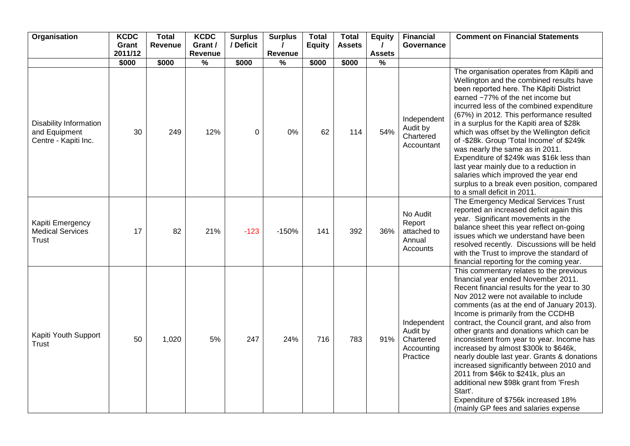| Organisation                                                    | <b>KCDC</b><br>Grant | Total<br>Revenue | <b>KCDC</b><br>Grant /   | <b>Surplus</b><br>/ Deficit | <b>Surplus</b> | <b>Total</b><br><b>Equity</b> | <b>Total</b><br><b>Assets</b> | <b>Equity</b><br>$\prime$ | <b>Financial</b><br>Governance                                 | <b>Comment on Financial Statements</b>                                                                                                                                                                                                                                                                                                                                                                                                                                                                                                                                                                                                                                                                          |
|-----------------------------------------------------------------|----------------------|------------------|--------------------------|-----------------------------|----------------|-------------------------------|-------------------------------|---------------------------|----------------------------------------------------------------|-----------------------------------------------------------------------------------------------------------------------------------------------------------------------------------------------------------------------------------------------------------------------------------------------------------------------------------------------------------------------------------------------------------------------------------------------------------------------------------------------------------------------------------------------------------------------------------------------------------------------------------------------------------------------------------------------------------------|
|                                                                 | 2011/12              |                  | Revenue                  |                             | Revenue        |                               |                               | <b>Assets</b>             |                                                                |                                                                                                                                                                                                                                                                                                                                                                                                                                                                                                                                                                                                                                                                                                                 |
|                                                                 | \$000                | \$000            | $\overline{\frac{9}{6}}$ | \$000                       | $\frac{9}{6}$  | \$000                         | \$000                         | $\frac{9}{6}$             |                                                                |                                                                                                                                                                                                                                                                                                                                                                                                                                                                                                                                                                                                                                                                                                                 |
| Disability Information<br>and Equipment<br>Centre - Kapiti Inc. | 30                   | 249              | 12%                      | 0                           | 0%             | 62                            | 114                           | 54%                       | Independent<br>Audit by<br>Chartered<br>Accountant             | The organisation operates from Kāpiti and<br>Wellington and the combined results have<br>been reported here. The Kāpiti District<br>earned ~77% of the net income but<br>incurred less of the combined expenditure<br>(67%) in 2012. This performance resulted<br>in a surplus for the Kapiti area of \$28k<br>which was offset by the Wellington deficit<br>of -\$28k. Group 'Total Income' of \$249k<br>was nearly the same as in 2011.<br>Expenditure of \$249k was \$16k less than<br>last year mainly due to a reduction in<br>salaries which improved the year end<br>surplus to a break even position, compared<br>to a small deficit in 2011.                                                           |
| Kapiti Emergency<br><b>Medical Services</b><br><b>Trust</b>     | 17                   | 82               | 21%                      | $-123$                      | $-150%$        | 141                           | 392                           | 36%                       | No Audit<br>Report<br>attached to<br>Annual<br>Accounts        | The Emergency Medical Services Trust<br>reported an increased deficit again this<br>year. Significant movements in the<br>balance sheet this year reflect on-going<br>issues which we understand have been<br>resolved recently. Discussions will be held<br>with the Trust to improve the standard of<br>financial reporting for the coming year.                                                                                                                                                                                                                                                                                                                                                              |
| Kapiti Youth Support<br><b>Trust</b>                            | 50                   | 1,020            | 5%                       | 247                         | 24%            | 716                           | 783                           | 91%                       | Independent<br>Audit by<br>Chartered<br>Accounting<br>Practice | This commentary relates to the previous<br>financial year ended November 2011.<br>Recent financial results for the year to 30<br>Nov 2012 were not available to include<br>comments (as at the end of January 2013).<br>Income is primarily from the CCDHB<br>contract, the Council grant, and also from<br>other grants and donations which can be<br>inconsistent from year to year. Income has<br>increased by almost \$300k to \$646k,<br>nearly double last year. Grants & donations<br>increased significantly between 2010 and<br>2011 from \$46k to \$241k, plus an<br>additional new \$98k grant from 'Fresh<br>Start'.<br>Expenditure of \$756k increased 18%<br>(mainly GP fees and salaries expense |